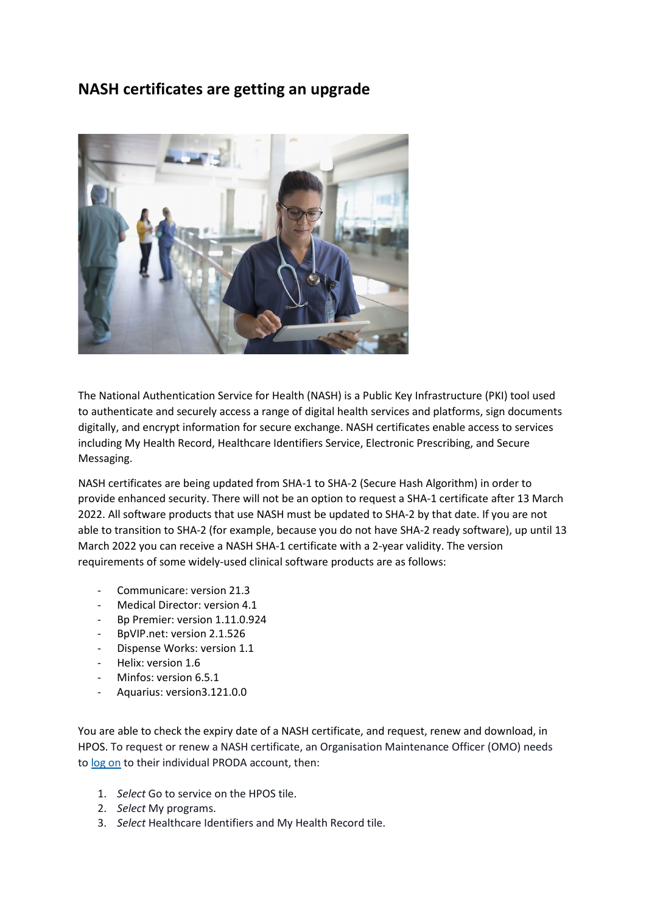# **NASH certificates are getting an upgrade**



The National Authentication Service for Health (NASH) is a Public Key Infrastructure (PKI) tool used to authenticate and securely access a range of digital health services and platforms, sign documents digitally, and encrypt information for secure exchange. NASH certificates enable access to services including My Health Record, Healthcare Identifiers Service, Electronic Prescribing, and Secure Messaging.

NASH certificates are being updated from SHA-1 to SHA-2 (Secure Hash Algorithm) in order to provide enhanced security. There will not be an option to request a SHA-1 certificate after 13 March 2022. All software products that use NASH must be updated to SHA-2 by that date. If you are not able to transition to SHA-2 (for example, because you do not have SHA-2 ready software), up until 13 March 2022 you can receive a NASH SHA-1 certificate with a 2-year validity. The version requirements of some widely-used clinical software products are as follows:

- Communicare: version 21.3
- Medical Director: version 4.1
- Bp Premier: version 1.11.0.924
- BpVIP.net: version 2.1.526
- Dispense Works: version 1.1
- Helix: version 1.6
- Minfos: version 6.5.1
- Aquarius: version3.121.0.0

You are able to check the expiry date of a NASH certificate, and request, renew and download, in HPOS. To request or renew a NASH certificate, an Organisation Maintenance Officer (OMO) needs to [log on](https://aus01.safelinks.protection.outlook.com/?url=https%3A%2F%2Fproda.humanservices.gov.au%2Fprodalogin%2Fpages%2Fpublic%2Flogin.jsf%3FTAM_OP%3Dlogin%26USER&data=04%7C01%7CLaura.Leyden%40wqphn.com.au%7C7b63cd3396414a1dff4808d9bebcbae7%7C07891e3eeaf54aac8b92cca3c5f1829d%7C0%7C0%7C637750540082798130%7CUnknown%7CTWFpbGZsb3d8eyJWIjoiMC4wLjAwMDAiLCJQIjoiV2luMzIiLCJBTiI6Ik1haWwiLCJXVCI6Mn0%3D%7C3000&sdata=0KBP3Iwl52Ru8v3xzYDuIiWnJg9YJTIkz4Ugrp2XkJM%3D&reserved=0) to their individual PRODA account, then:

- 1. *Select* Go to service on the HPOS tile.
- 2. *Select* My programs.
- 3. *Select* Healthcare Identifiers and My Health Record tile.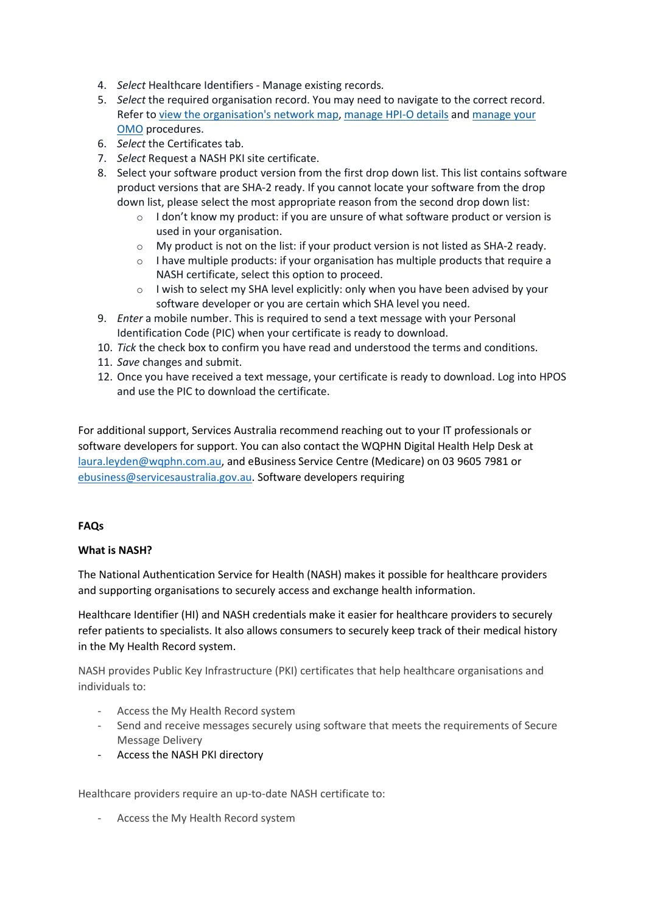- 4. *Select* Healthcare Identifiers Manage existing records.
- 5. *Select* the required organisation record. You may need to navigate to the correct record. Refer to [view the organisation's network map](https://aus01.safelinks.protection.outlook.com/?url=https%3A%2F%2Fwww.servicesaustralia.gov.au%2Forganisations%2Fhealth-professionals%2Ftopics%2Fmanaging-hi-service-and-my-health-record-details%2F33481%23viewtheorganisationsnetworkmap&data=04%7C01%7CLaura.Leyden%40wqphn.com.au%7C7b63cd3396414a1dff4808d9bebcbae7%7C07891e3eeaf54aac8b92cca3c5f1829d%7C0%7C0%7C637750540082808084%7CUnknown%7CTWFpbGZsb3d8eyJWIjoiMC4wLjAwMDAiLCJQIjoiV2luMzIiLCJBTiI6Ik1haWwiLCJXVCI6Mn0%3D%7C3000&sdata=r9yU%2Fg1ed252goTLP%2BVPjMZyNLEq6skft46mj6q2xrM%3D&reserved=0), [manage HPI-O details](https://aus01.safelinks.protection.outlook.com/?url=https%3A%2F%2Fwww.servicesaustralia.gov.au%2Forganisations%2Fhealth-professionals%2Ftopics%2Fmanaging-hi-service-and-my-health-record-details%2F33481%23managehpiodetailsinitialsteps&data=04%7C01%7CLaura.Leyden%40wqphn.com.au%7C7b63cd3396414a1dff4808d9bebcbae7%7C07891e3eeaf54aac8b92cca3c5f1829d%7C0%7C0%7C637750540082808084%7CUnknown%7CTWFpbGZsb3d8eyJWIjoiMC4wLjAwMDAiLCJQIjoiV2luMzIiLCJBTiI6Ik1haWwiLCJXVCI6Mn0%3D%7C3000&sdata=hXiWjccaOm7%2BXGum70%2Bvgs2CANypg5bPVFhTIRnYKkw%3D&reserved=0) and [manage your](https://aus01.safelinks.protection.outlook.com/?url=https%3A%2F%2Fwww.servicesaustralia.gov.au%2Forganisations%2Fhealth-professionals%2Ftopics%2Fcreate-and-manage-records-organisation-staff%2F52395%23manageomodetails&data=04%7C01%7CLaura.Leyden%40wqphn.com.au%7C7b63cd3396414a1dff4808d9bebcbae7%7C07891e3eeaf54aac8b92cca3c5f1829d%7C0%7C0%7C637750540082818041%7CUnknown%7CTWFpbGZsb3d8eyJWIjoiMC4wLjAwMDAiLCJQIjoiV2luMzIiLCJBTiI6Ik1haWwiLCJXVCI6Mn0%3D%7C3000&sdata=X4yyb5Odvnu%2BZ4vHBMZRBx60wjZhakSmHm8%2FA%2Fkxxik%3D&reserved=0)  [OMO](https://aus01.safelinks.protection.outlook.com/?url=https%3A%2F%2Fwww.servicesaustralia.gov.au%2Forganisations%2Fhealth-professionals%2Ftopics%2Fcreate-and-manage-records-organisation-staff%2F52395%23manageomodetails&data=04%7C01%7CLaura.Leyden%40wqphn.com.au%7C7b63cd3396414a1dff4808d9bebcbae7%7C07891e3eeaf54aac8b92cca3c5f1829d%7C0%7C0%7C637750540082818041%7CUnknown%7CTWFpbGZsb3d8eyJWIjoiMC4wLjAwMDAiLCJQIjoiV2luMzIiLCJBTiI6Ik1haWwiLCJXVCI6Mn0%3D%7C3000&sdata=X4yyb5Odvnu%2BZ4vHBMZRBx60wjZhakSmHm8%2FA%2Fkxxik%3D&reserved=0) procedures.
- 6. *Select* the Certificates tab.
- 7. *Select* Request a NASH PKI site certificate.
- 8. Select your software product version from the first drop down list. This list contains software product versions that are SHA-2 ready. If you cannot locate your software from the drop down list, please select the most appropriate reason from the second drop down list:
	- $\circ$  I don't know my product: if you are unsure of what software product or version is used in your organisation.
	- $\circ$  My product is not on the list: if your product version is not listed as SHA-2 ready.
	- $\circ$  I have multiple products: if your organisation has multiple products that require a NASH certificate, select this option to proceed.
	- o I wish to select my SHA level explicitly: only when you have been advised by your software developer or you are certain which SHA level you need.
- 9. *Enter* a mobile number. This is required to send a text message with your Personal Identification Code (PIC) when your certificate is ready to download.
- 10. *Tick* the check box to confirm you have read and understood the terms and conditions.
- 11. *Save* changes and submit.
- 12. Once you have received a text message, your certificate is ready to download. Log into HPOS and use the PIC to download the certificate.

For additional support, Services Australia recommend reaching out to your IT professionals or software developers for support. You can also contact the WQPHN Digital Health Help Desk at [laura.leyden@wqphn.com.au,](mailto:laura.leyden@wqphn.com.au) and eBusiness Service Centre (Medicare) on 03 9605 7981 or [ebusiness@servicesaustralia.gov.au.](mailto:ebusiness@servicesaustralia.gov.au) Software developers requiring

#### **FAQs**

#### **What is NASH?**

The National Authentication Service for Health (NASH) makes it possible for healthcare providers and supporting organisations to securely access and exchange health information.

Healthcare Identifier (HI) and NASH credentials make it easier for healthcare providers to securely refer patients to specialists. It also allows consumers to securely keep track of their medical history in the My Health Record system.

NASH provides Public Key Infrastructure (PKI) certificates that help healthcare organisations and individuals to:

- Access the My Health Record system
- Send and receive messages securely using software that meets the requirements of Secure Message Delivery
- Access the NASH PKI directory

Healthcare providers require an up-to-date NASH certificate to:

- Access the My Health Record system